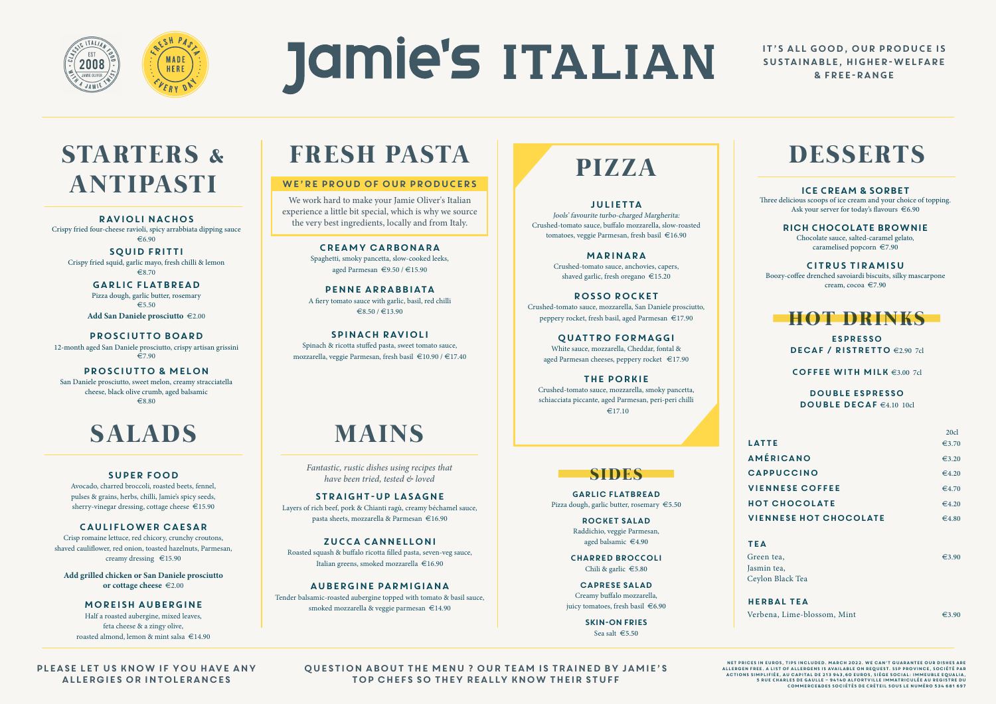

# **Jamie's ITALIAN**

#### IT'S ALL GOOD, OUR PRODUCE IS SUSTAINABLE, HIGHER-WELFARE & FREE-RANGE

# **STARTERS & ANTIPASTI**

# **FRESH PASTA**

### **SIDES**

# **PIZZA DESSERTS**



*Fantastic, rustic dishes using recipes that have been tried, tested & loved*

RAVIOLI NACHOS Crispy fried four-cheese ravioli, spicy arrabbiata dipping sauce  $\epsilon$ 6.90

We work hard to make your Jamie Oliver's Italian experience a little bit special, which is why we source the very best ingredients, locally and from Italy.

SQUID FRITTI Crispy fried squid, garlic mayo, fresh chilli & lemon  $\epsilon$ 8.70

> GARLIC FLATBREAD Pizza dough, garlic butter, rosemary  $\epsilon$ 5.50

Add San Daniele prosciutto  $\epsilon$ 2.00

#### WE'RE PROUD OF OUR PRODUCERS

PROSCIUTTO BOARD 12-month aged San Daniele prosciutto, crispy artisan grissini  $\overline{27.90}$ 

Please let us know if you have any allergies or intolerances

San Daniele prosciutto, sweet melon, creamy stracciatella cheese, black olive crumb, aged balsamic  $\epsilon$ 8.80

# SALADS **MAINS**

Question about the menu ? Our team is trained by Jamie's top chefs so they really know their stuff

Spaghetti, smoky pancetta, slow-cooked leeks, aged Parmesan  $\epsilon$ 9.50 /  $\epsilon$ 15.90

pENNE ARRABBIATA A fiery tomato sauce with garlic, basil, red chilli  $\text{\textsterling}8.50 / \text{\textsterling}13.90$ 

SPINACH RAVIOLI Spinach & ricotta stuffed pasta, sweet tomato sauce, mozzarella, veggie Parmesan, fresh basil  $\in$ 10.90 /  $\in$ 17.40

STRAIGHT-UP LASAGNE Layers of rich beef, pork & Chianti ragù, creamy béchamel sauce, pasta sheets, mozzarella & Parmesan  $\in$ 16.90

ZUCCA CANNELLONI Roasted squash & buffalo ricotta filled pasta, seven-veg sauce, Italian greens, smoked mozzarella  $\epsilon$ 16.90

Tender balsamic-roasted aubergine topped with tomato & basil sauce, smoked mozzarella & veggie parmesan  $\in$ 14.90

Avocado, charred broccoli, roasted beets, fennel, pulses & grains, herbs, chilli, Jamie's spicy seeds, sherry-vinegar dressing, cottage cheese  $\epsilon$ 15.90

#### PROSCIUTTO & melon

Crisp romaine lettuce, red chicory, crunchy croutons, shaved cauliflower, red onion, toasted hazelnuts, Parmesan, creamy dressing  $\epsilon$ 15.90

**Add grilled chicken or San Daniele prosciutto or cottage cheese**  $\epsilon$ 2.00

Creamy carbonara

Half a roasted aubergine, mixed leaves, feta cheese & a zingy olive, roasted almond, lemon & mint salsa  $\in$ 14.90

GARLIc flatBREAD Pizza dough, garlic butter, rosemary €5.50

> rocket salad Raddichio, veggie Parmesan, aged balsamic €4.90

CHARRED BROCCOLI Chili & garlic  $\epsilon$ 5.80

caprese salad Creamy buffalo mozzarella, juicy tomatoes, fresh basil €6.90

> SKIN-ON FRIES Sea salt €5.50

Jools' favourite turbo-charged Margherita: Crushed-tomato sauce, buffalo mozzarella, slow-roasted tomatoes, veggie Parmesan, fresh basil  $\epsilon$ 16.90

> MARINARA Crushed-tomato sauce, anchovies, capers, shaved garlic, fresh oregano  $\epsilon$ 15.20

ROSSO ROCKET Crushed-tomato sauce, mozzarella, San Daniele prosciutto, peppery rocket, fresh basil, aged Parmesan  $\epsilon$ 17.90

QUATTRO FORMAGGI White sauce, mozzarella, Cheddar, fontal & aged Parmesan cheeses, peppery rocket  $\epsilon$ 17.90

Crushed-tomato sauce, mozzarella, smoky pancetta, schiacciata piccante, aged Parmesan, peri-peri chilli  $£17.10$ 

Three delicious scoops of ice cream and your choice of topping. Ask your server for today's flavours  $\epsilon$ 6.90

#### AUBERGINE PARMIGIANA

Chocolate sauce, salted-caramel gelato, caramelised popcorn  $\epsilon$ 7.90

Boozy-coffee drenched savoiardi biscuits, silky mascarpone cream, cocoa  $\in$ 7.90

> espresso DECAF / RISTRETTO €2.90 7cl

COFFEE WITH MILK  $63.00$  7cl

#### SUPER FOOD

#### double espresso DOUBLE DECAF  $\in$ 4.10 10cl

#### Cauliflower caesar

#### MOREISH AUBERGINE

#### JULIETTA

the porkie

#### ICE CREAM & SORBET

#### rich CHOCOLATE BROWNIE

#### CITRUS TIRAMISU

|                               | 20c1            |
|-------------------------------|-----------------|
| <b>LATTE</b>                  | €3.70           |
| <b>AMÉRICANO</b>              | €3.20           |
| <b>CAPPUCCINO</b>             | €4.20           |
| <b>VIENNESE COFFEE</b>        | €4.70           |
| <b>HOT CHOCOLATE</b>          | $\epsilon$ 4.20 |
| <b>VIENNESE HOT CHOCOLATE</b> | €4.80           |
|                               |                 |
| <b>TEA</b>                    |                 |
| Green tea,                    | $\epsilon$ 3.90 |
| Jasmin tea,                   |                 |
| Ceylon Black Tea              |                 |
|                               |                 |
| <b>HERBAL TEA</b>             |                 |

Verbena, Lime-blossom, Mint  $\epsilon$ 3.90

Net prices in euros, tips included. MArch 2022. We can't guarantee our dishes are allergen free. A list of allergens is available on request. SSP Province, Société par actions simplifiée, au capital de 213 943,60 euros, Siège social: Immeuble Equalia, 5 rue Charles de Gaulle – 94140 Alfortville Immatriculée au Registre du Commerce&des Sociétés de Créteil sous le numéro 534 681 697